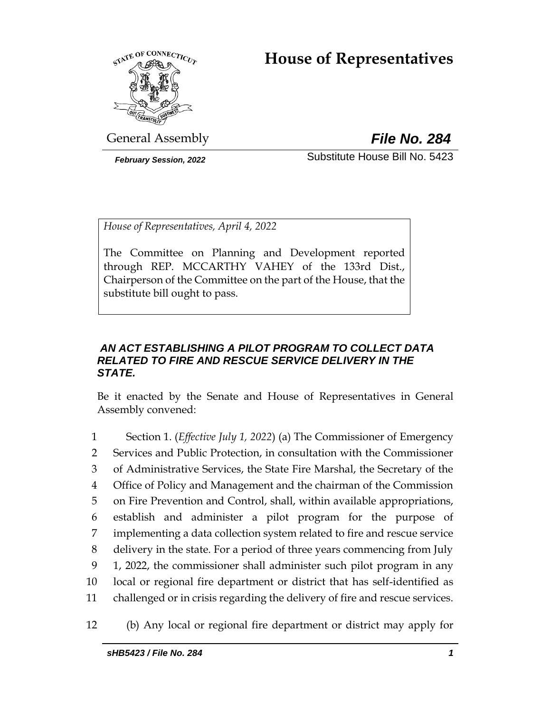# **House of Representatives**



General Assembly *File No. 284*

*February Session, 2022* Substitute House Bill No. 5423

*House of Representatives, April 4, 2022*

The Committee on Planning and Development reported through REP. MCCARTHY VAHEY of the 133rd Dist., Chairperson of the Committee on the part of the House, that the substitute bill ought to pass.

# *AN ACT ESTABLISHING A PILOT PROGRAM TO COLLECT DATA RELATED TO FIRE AND RESCUE SERVICE DELIVERY IN THE STATE.*

Be it enacted by the Senate and House of Representatives in General Assembly convened:

 Section 1. (*Effective July 1, 2022*) (a) The Commissioner of Emergency Services and Public Protection, in consultation with the Commissioner of Administrative Services, the State Fire Marshal, the Secretary of the Office of Policy and Management and the chairman of the Commission on Fire Prevention and Control, shall, within available appropriations, establish and administer a pilot program for the purpose of implementing a data collection system related to fire and rescue service delivery in the state. For a period of three years commencing from July 1, 2022, the commissioner shall administer such pilot program in any local or regional fire department or district that has self-identified as challenged or in crisis regarding the delivery of fire and rescue services.

12 (b) Any local or regional fire department or district may apply for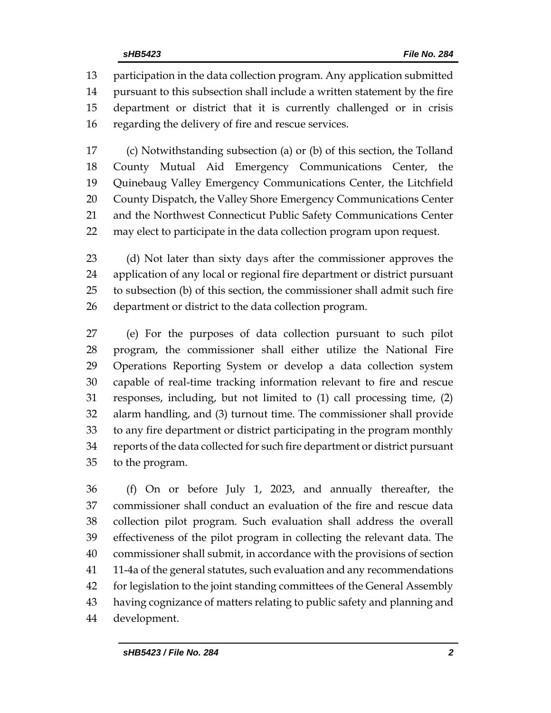participation in the data collection program. Any application submitted pursuant to this subsection shall include a written statement by the fire department or district that it is currently challenged or in crisis regarding the delivery of fire and rescue services.

 (c) Notwithstanding subsection (a) or (b) of this section, the Tolland County Mutual Aid Emergency Communications Center, the Quinebaug Valley Emergency Communications Center, the Litchfield 20 County Dispatch, the Valley Shore Emergency Communications Center and the Northwest Connecticut Public Safety Communications Center may elect to participate in the data collection program upon request.

 (d) Not later than sixty days after the commissioner approves the application of any local or regional fire department or district pursuant to subsection (b) of this section, the commissioner shall admit such fire department or district to the data collection program.

 (e) For the purposes of data collection pursuant to such pilot program, the commissioner shall either utilize the National Fire Operations Reporting System or develop a data collection system capable of real-time tracking information relevant to fire and rescue responses, including, but not limited to (1) call processing time, (2) alarm handling, and (3) turnout time. The commissioner shall provide to any fire department or district participating in the program monthly reports of the data collected for such fire department or district pursuant to the program.

 (f) On or before July 1, 2023, and annually thereafter, the commissioner shall conduct an evaluation of the fire and rescue data collection pilot program. Such evaluation shall address the overall effectiveness of the pilot program in collecting the relevant data. The commissioner shall submit, in accordance with the provisions of section 11-4a of the general statutes, such evaluation and any recommendations for legislation to the joint standing committees of the General Assembly having cognizance of matters relating to public safety and planning and development.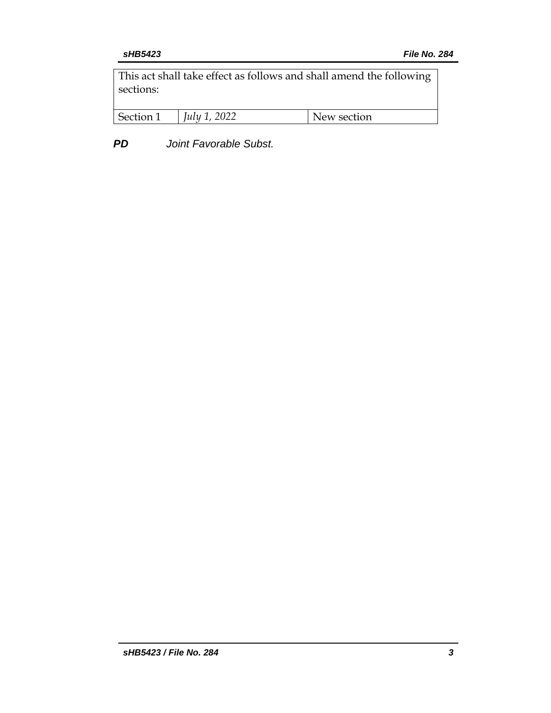This act shall take effect as follows and shall amend the following sections:

| Section 1 | July 1, 2022 | New section |
|-----------|--------------|-------------|
|-----------|--------------|-------------|

*PD Joint Favorable Subst.*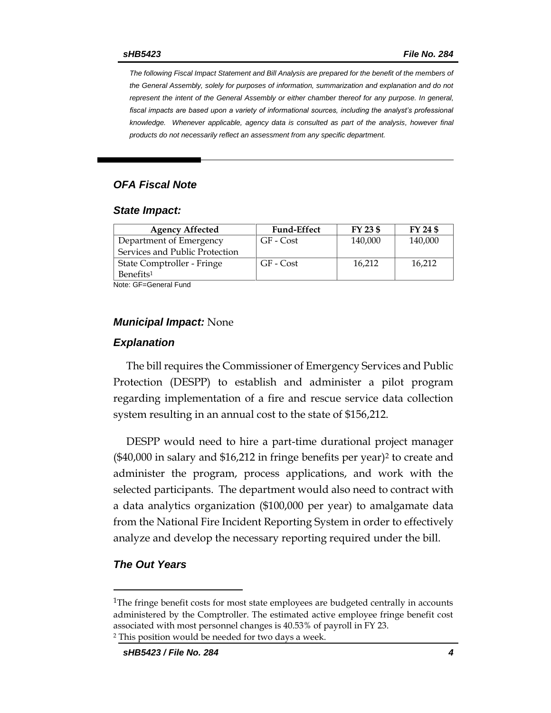*The following Fiscal Impact Statement and Bill Analysis are prepared for the benefit of the members of the General Assembly, solely for purposes of information, summarization and explanation and do not represent the intent of the General Assembly or either chamber thereof for any purpose. In general,*  fiscal impacts are based upon a variety of informational sources, including the analyst's professional *knowledge. Whenever applicable, agency data is consulted as part of the analysis, however final products do not necessarily reflect an assessment from any specific department.*

# *OFA Fiscal Note*

#### *State Impact:*

| <b>Fund-Effect</b> | FY 23 \$ | FY 24 \$ |
|--------------------|----------|----------|
| GF - Cost          | 140,000  | 140,000  |
|                    |          |          |
| GF - Cost          | 16.212   | 16.212   |
|                    |          |          |
|                    |          |          |

Note: GF=General Fund

#### *Municipal Impact:* None

#### *Explanation*

The bill requires the Commissioner of Emergency Services and Public Protection (DESPP) to establish and administer a pilot program regarding implementation of a fire and rescue service data collection system resulting in an annual cost to the state of \$156,212.

DESPP would need to hire a part-time durational project manager  $($40,000$  in salary and  $$16,212$  in fringe benefits per year)<sup>2</sup> to create and administer the program, process applications, and work with the selected participants. The department would also need to contract with a data analytics organization (\$100,000 per year) to amalgamate data from the National Fire Incident Reporting System in order to effectively analyze and develop the necessary reporting required under the bill.

### *The Out Years*

<sup>&</sup>lt;sup>1</sup>The fringe benefit costs for most state employees are budgeted centrally in accounts administered by the Comptroller. The estimated active employee fringe benefit cost associated with most personnel changes is 40.53% of payroll in FY 23.

<sup>2</sup> This position would be needed for two days a week.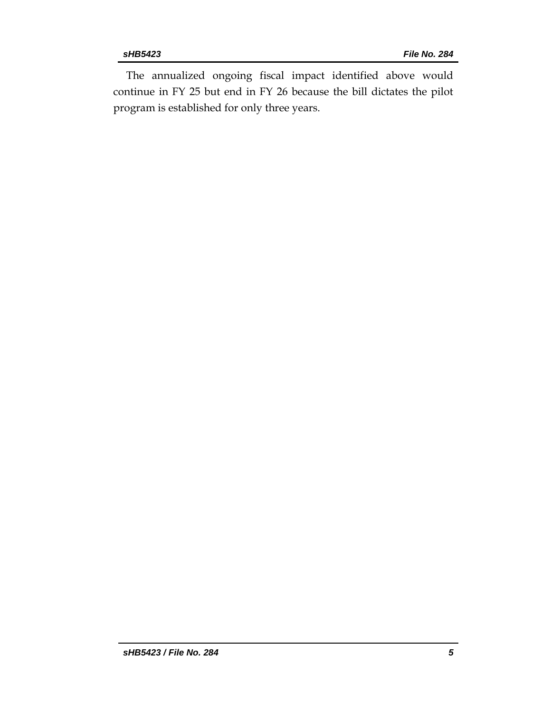The annualized ongoing fiscal impact identified above would continue in FY 25 but end in FY 26 because the bill dictates the pilot program is established for only three years.